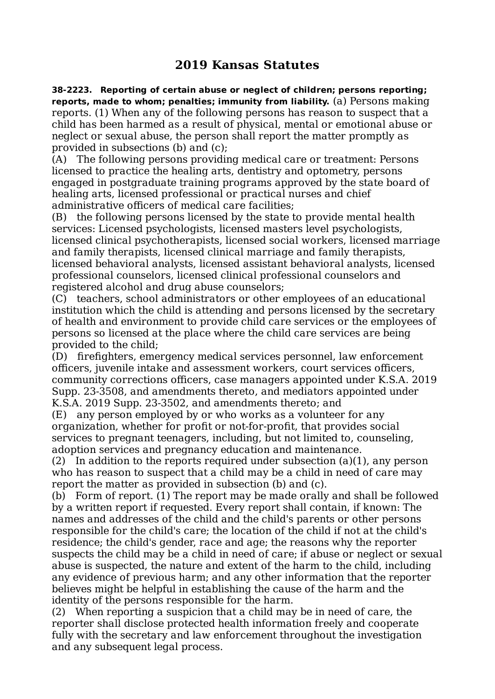## **2019 Kansas Statutes**

**38-2223. Reporting of certain abuse or neglect of children; persons reporting; reports, made to whom; penalties; immunity from liability.** (a) Persons making reports. (1) When any of the following persons has reason to suspect that a child has been harmed as a result of physical, mental or emotional abuse or neglect or sexual abuse, the person shall report the matter promptly as provided in subsections (b) and (c);

(A) The following persons providing medical care or treatment: Persons licensed to practice the healing arts, dentistry and optometry, persons engaged in postgraduate training programs approved by the state board of healing arts, licensed professional or practical nurses and chief administrative officers of medical care facilities;

(B) the following persons licensed by the state to provide mental health services: Licensed psychologists, licensed masters level psychologists, licensed clinical psychotherapists, licensed social workers, licensed marriage and family therapists, licensed clinical marriage and family therapists, licensed behavioral analysts, licensed assistant behavioral analysts, licensed professional counselors, licensed clinical professional counselors and registered alcohol and drug abuse counselors;

(C) teachers, school administrators or other employees of an educational institution which the child is attending and persons licensed by the secretary of health and environment to provide child care services or the employees of persons so licensed at the place where the child care services are being provided to the child;

(D) firefighters, emergency medical services personnel, law enforcement officers, juvenile intake and assessment workers, court services officers, community corrections officers, case managers appointed under K.S.A. 2019 Supp. 23-3508, and amendments thereto, and mediators appointed under K.S.A. 2019 Supp. 23-3502, and amendments thereto; and

(E) any person employed by or who works as a volunteer for any organization, whether for profit or not-for-profit, that provides social services to pregnant teenagers, including, but not limited to, counseling, adoption services and pregnancy education and maintenance.

(2) In addition to the reports required under subsection (a)(1), any person who has reason to suspect that a child may be a child in need of care may report the matter as provided in subsection (b) and (c).

(b) Form of report. (1) The report may be made orally and shall be followed by a written report if requested. Every report shall contain, if known: The names and addresses of the child and the child's parents or other persons responsible for the child's care; the location of the child if not at the child's residence; the child's gender, race and age; the reasons why the reporter suspects the child may be a child in need of care; if abuse or neglect or sexual abuse is suspected, the nature and extent of the harm to the child, including any evidence of previous harm; and any other information that the reporter believes might be helpful in establishing the cause of the harm and the identity of the persons responsible for the harm.

(2) When reporting a suspicion that a child may be in need of care, the reporter shall disclose protected health information freely and cooperate fully with the secretary and law enforcement throughout the investigation and any subsequent legal process.